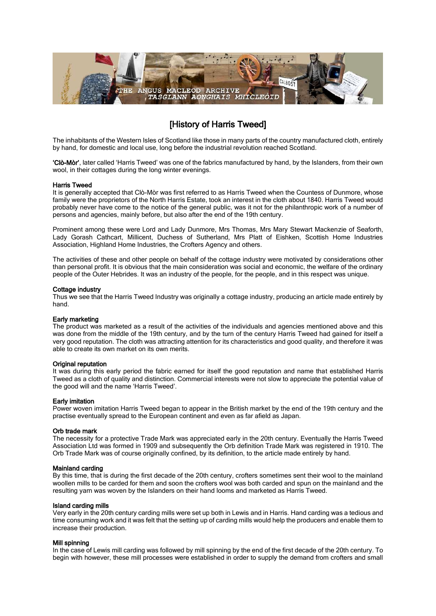

# [History of Harris Tweed]

The inhabitants of the Western Isles of Scotland like those in many parts of the country manufactured cloth, entirely by hand, for domestic and local use, long before the industrial revolution reached Scotland.

'Clò-Mòr', later called 'Harris Tweed' was one of the fabrics manufactured by hand, by the Islanders, from their own wool, in their cottages during the long winter evenings.

#### Harris Tweed

It is generally accepted that Clò-Mòr was first referred to as Harris Tweed when the Countess of Dunmore, whose family were the proprietors of the North Harris Estate, took an interest in the cloth about 1840. Harris Tweed would probably never have come to the notice of the general public, was it not for the philanthropic work of a number of persons and agencies, mainly before, but also after the end of the 19th century.

Prominent among these were Lord and Lady Dunmore, Mrs Thomas, Mrs Mary Stewart Mackenzie of Seaforth, Lady Gorash Cathcart, Millicent, Duchess of Sutherland, Mrs Platt of Eishken, Scottish Home Industries Association, Highland Home Industries, the Crofters Agency and others.

The activities of these and other people on behalf of the cottage industry were motivated by considerations other than personal profit. It is obvious that the main consideration was social and economic, the welfare of the ordinary people of the Outer Hebrides. It was an industry of the people, for the people, and in this respect was unique.

#### Cottage industry

Thus we see that the Harris Tweed Industry was originally a cottage industry, producing an article made entirely by hand.

## Early marketing

The product was marketed as a result of the activities of the individuals and agencies mentioned above and this was done from the middle of the 19th century, and by the turn of the century Harris Tweed had gained for itself a very good reputation. The cloth was attracting attention for its characteristics and good quality, and therefore it was able to create its own market on its own merits.

#### Original reputation

It was during this early period the fabric earned for itself the good reputation and name that established Harris Tweed as a cloth of quality and distinction. Commercial interests were not slow to appreciate the potential value of the good will and the name 'Harris Tweed'.

## Early imitation

Power woven imitation Harris Tweed began to appear in the British market by the end of the 19th century and the practise eventually spread to the European continent and even as far afield as Japan.

#### Orb trade mark

The necessity for a protective Trade Mark was appreciated early in the 20th century. Eventually the Harris Tweed Association Ltd was formed in 1909 and subsequently the Orb definition Trade Mark was registered in 1910. The Orb Trade Mark was of course originally confined, by its definition, to the article made entirely by hand.

### Mainland carding

By this time, that is during the first decade of the 20th century, crofters sometimes sent their wool to the mainland woollen mills to be carded for them and soon the crofters wool was both carded and spun on the mainland and the resulting yarn was woven by the Islanders on their hand looms and marketed as Harris Tweed.

#### Island carding mills

Very early in the 20th century carding mills were set up both in Lewis and in Harris. Hand carding was a tedious and time consuming work and it was felt that the setting up of carding mills would help the producers and enable them to increase their production.

#### Mill spinning

In the case of Lewis mill carding was followed by mill spinning by the end of the first decade of the 20th century. To begin with however, these mill processes were established in order to supply the demand from crofters and small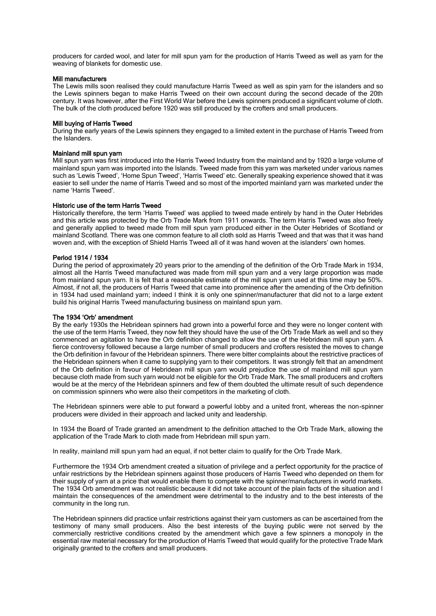producers for carded wool, and later for mill spun yarn for the production of Harris Tweed as well as yarn for the weaving of blankets for domestic use.

#### Mill manufacturers

The Lewis mills soon realised they could manufacture Harris Tweed as well as spin yarn for the islanders and so the Lewis spinners began to make Harris Tweed on their own account during the second decade of the 20th century. It was however, after the First World War before the Lewis spinners produced a significant volume of cloth. The bulk of the cloth produced before 1920 was still produced by the crofters and small producers.

## Mill buying of Harris Tweed

During the early years of the Lewis spinners they engaged to a limited extent in the purchase of Harris Tweed from the Islanders.

#### Mainland mill spun yarn

Mill spun yarn was first introduced into the Harris Tweed Industry from the mainland and by 1920 a large volume of mainland spun yarn was imported into the Islands. Tweed made from this yarn was marketed under various names such as 'Lewis Tweed', 'Home Spun Tweed', 'Harris Tweed' etc. Generally speaking experience showed that it was easier to sell under the name of Harris Tweed and so most of the imported mainland yarn was marketed under the name 'Harris Tweed'.

## Historic use of the term Harris Tweed

Historically therefore, the term 'Harris Tweed' was applied to tweed made entirely by hand in the Outer Hebrides and this article was protected by the Orb Trade Mark from 1911 onwards. The term Harris Tweed was also freely and generally applied to tweed made from mill spun yarn produced either in the Outer Hebrides of Scotland or mainland Scotland. There was one common feature to all cloth sold as Harris Tweed and that was that it was hand woven and, with the exception of Shield Harris Tweed all of it was hand woven at the islanders' own homes.

#### Period 1914 / 1934

During the period of approximately 20 years prior to the amending of the definition of the Orb Trade Mark in 1934, almost all the Harris Tweed manufactured was made from mill spun yarn and a very large proportion was made from mainland spun yarn. It is felt that a reasonable estimate of the mill spun yarn used at this time may be 50%. Almost, if not all, the producers of Harris Tweed that came into prominence after the amending of the Orb definition in 1934 had used mainland yarn; indeed I think it is only one spinner/manufacturer that did not to a large extent build his original Harris Tweed manufacturing business on mainland spun yarn.

## The 1934 'Orb' amendment

By the early 1930s the Hebridean spinners had grown into a powerful force and they were no longer content with the use of the term Harris Tweed, they now felt they should have the use of the Orb Trade Mark as well and so they commenced an agitation to have the Orb definition changed to allow the use of the Hebridean mill spun yarn. A fierce controversy followed because a large number of small producers and crofters resisted the moves to change the Orb definition in favour of the Hebridean spinners. There were bitter complaints about the restrictive practices of the Hebridean spinners when it came to supplying yarn to their competitors. It was strongly felt that an amendment of the Orb definition in favour of Hebridean mill spun yarn would prejudice the use of mainland mill spun yarn because cloth made from such yarn would not be eligible for the Orb Trade Mark. The small producers and crofters would be at the mercy of the Hebridean spinners and few of them doubted the ultimate result of such dependence on commission spinners who were also their competitors in the marketing of cloth.

The Hebridean spinners were able to put forward a powerful lobby and a united front, whereas the non-spinner producers were divided in their approach and lacked unity and leadership.

In 1934 the Board of Trade granted an amendment to the definition attached to the Orb Trade Mark, allowing the application of the Trade Mark to cloth made from Hebridean mill spun yarn.

In reality, mainland mill spun yarn had an equal, if not better claim to qualify for the Orb Trade Mark.

Furthermore the 1934 Orb amendment created a situation of privilege and a perfect opportunity for the practice of unfair restrictions by the Hebridean spinners against those producers of Harris Tweed who depended on them for their supply of yarn at a price that would enable them to compete with the spinner/manufacturers in world markets. The 1934 Orb amendment was not realistic because it did not take account of the plain facts of the situation and I maintain the consequences of the amendment were detrimental to the industry and to the best interests of the community in the long run.

The Hebridean spinners did practice unfair restrictions against their yarn customers as can be ascertained from the testimony of many small producers. Also the best interests of the buying public were not served by the commercially restrictive conditions created by the amendment which gave a few spinners a monopoly in the essential raw material necessary for the production of Harris Tweed that would qualify for the protective Trade Mark originally granted to the crofters and small producers.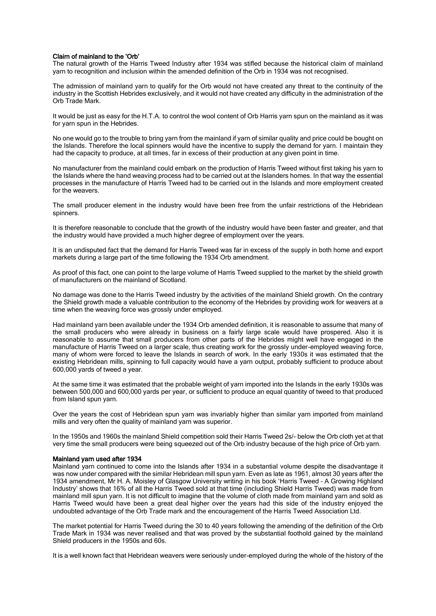#### Claim of mainland to the 'Orb'

The natural growth of the Harris Tweed Industry after 1934 was stifled because the historical claim of mainland yarn to recognition and inclusion within the amended definition of the Orb in 1934 was not recognised.

The admission of mainland yarn to qualify for the Orb would not have created any threat to the continuity of the industry in the Scottish Hebrides exclusively, and it would not have created any difficulty in the administration of the Orb Trade Mark.

It would be just as easy for the H.T.A. to control the wool content of Orb Harris yarn spun on the mainland as it was for yarn spun in the Hebrides.

No one would go to the trouble to bring yarn from the mainland if yarn of similar quality and price could be bought on the Islands. Therefore the local spinners would have the incentive to supply the demand for yarn. I maintain they had the capacity to produce, at all times, far in excess of their production at any given point in time.

No manufacturer from the mainland could embark on the production of Harris Tweed without first taking his yarn to the Islands where the hand weaving process had to be carried out at the Islanders homes. In that way the essential processes in the manufacture of Harris Tweed had to be carried out in the Islands and more employment created for the weavers.

The small producer element in the industry would have been free from the unfair restrictions of the Hebridean spinners.

It is therefore reasonable to conclude that the growth of the industry would have been faster and greater, and that the industry would have provided a much higher degree of employment over the years.

It is an undisputed fact that the demand for Harris Tweed was far in excess of the supply in both home and export markets during a large part of the time following the 1934 Orb amendment.

As proof of this fact, one can point to the large volume of Harris Tweed supplied to the market by the shield growth of manufacturers on the mainland of Scotland.

No damage was done to the Harris Tweed industry by the activities of the mainland Shield growth. On the contrary the Shield growth made a valuable contribution to the economy of the Hebrides by providing work for weavers at a time when the weaving force was grossly under employed.

Had mainland yarn been available under the 1934 Orb amended definition, it is reasonable to assume that many of the small producers who were already in business on a fairly large scale would have prospered. Also it is reasonable to assume that small producers from other parts of the Hebrides might well have engaged in the manufacture of Harris Tweed on a larger scale, thus creating work for the grossly under-employed weaving force, many of whom were forced to leave the Islands in search of work. In the early 1930s it was estimated that the existing Hebridean mills, spinning to full capacity would have a yarn output, probably sufficient to produce about 600,000 yards of tweed a year.

At the same time it was estimated that the probable weight of yarn imported into the Islands in the early 1930s was between 500,000 and 600,000 yards per year, or sufficient to produce an equal quantity of tweed to that produced from Island spun yarn.

Over the years the cost of Hebridean spun yarn was invariably higher than similar yarn imported from mainland mills and very often the quality of mainland yarn was superior.

In the 1950s and 1960s the mainland Shield competition sold their Harris Tweed 2s/- below the Orb cloth yet at that very time the small producers were being squeezed out of the Orb industry because of the high price of Orb yarn.

#### Mainland yarn used after 1934

Mainland yarn continued to come into the Islands after 1934 in a substantial volume despite the disadvantage it was now under compared with the similar Hebridean mill spun yarn. Even as late as 1961, almost 30 years after the 1934 amendment, Mr H. A. Moisley of Glasgow University writing in his book 'Harris Tweed – A Growing Highland Industry' shows that 16% of all the Harris Tweed sold at that time (including Shield Harris Tweed) was made from mainland mill spun yarn. It is not difficult to imagine that the volume of cloth made from mainland yarn and sold as Harris Tweed would have been a great deal higher over the years had this side of the industry enjoyed the undoubted advantage of the Orb Trade mark and the encouragement of the Harris Tweed Association Ltd.

The market potential for Harris Tweed during the 30 to 40 years following the amending of the definition of the Orb Trade Mark in 1934 was never realised and that was proved by the substantial foothold gained by the mainland Shield producers in the 1950s and 60s.

It is a well known fact that Hebridean weavers were seriously under-employed during the whole of the history of the